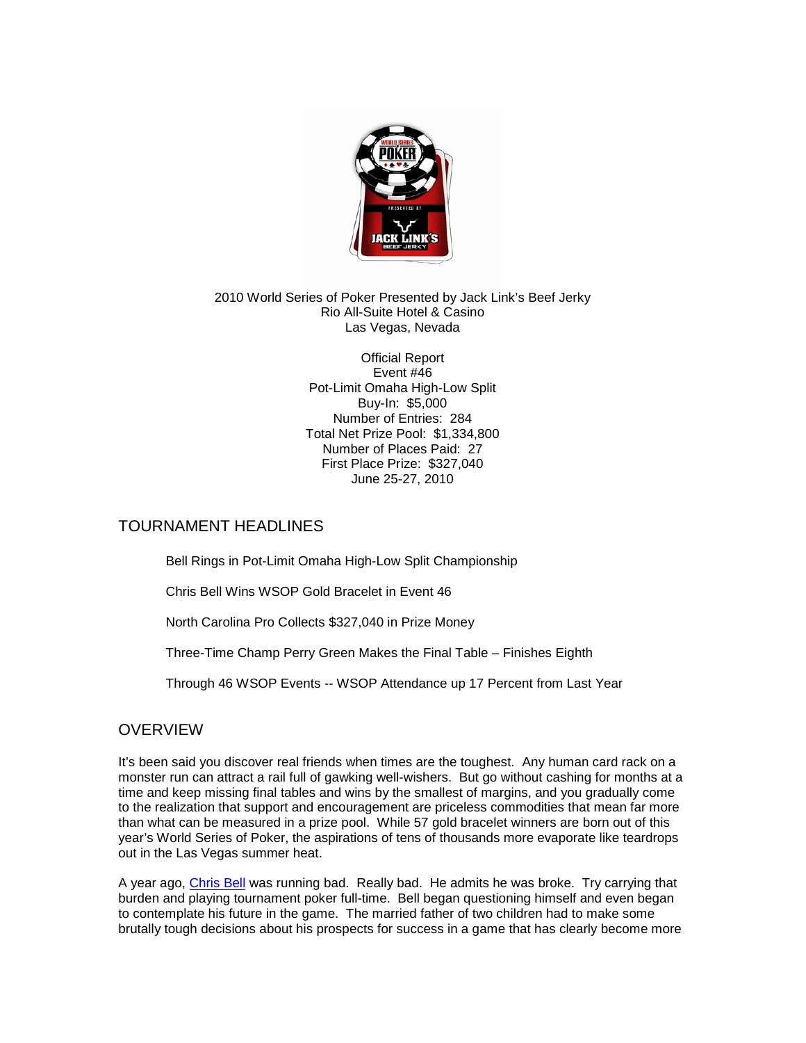

#### 2010 World Series of Poker Presented by Jack Link's Beef Jerky Rio All-Suite Hotel & Casino Las Vegas, Nevada

Official Report Event #46 Pot-Limit Omaha High-Low Split Buy-In: \$5,000 Number of Entries: 284 Total Net Prize Pool: \$1,334,800 Number of Places Paid: 27 First Place Prize: \$327,040 June 25-27, 2010

### TOURNAMENT HEADLINES

Bell Rings in Pot-Limit Omaha High-Low Split Championship

Chris Bell Wins WSOP Gold Bracelet in Event 46

North Carolina Pro Collects \$327,040 in Prize Money

Three-Time Champ Perry Green Makes the Final Table – Finishes Eighth

Through 46 WSOP Events -- WSOP Attendance up 17 Percent from Last Year

# **OVERVIEW**

It's been said you discover real friends when times are the toughest. Any human card rack on a monster run can attract a rail full of gawking well-wishers. But go without cashing for months at a time and keep missing final tables and wins by the smallest of margins, and you gradually come to the realization that support and encouragement are priceless commodities that mean far more than what can be measured in a prize pool. While 57 gold bracelet winners are born out of this year's World Series of Poker, the aspirations of tens of thousands more evaporate like teardrops out in the Las Vegas summer heat.

A year ago, [Chris Bell](http://www.wsop.com/players/playerProfile.asp?playerID=75&pagecolor=FFFFFF) was running bad. Really bad. He admits he was broke. Try carrying that burden and playing tournament poker full-time. Bell began questioning himself and even began to contemplate his future in the game. The married father of two children had to make some brutally tough decisions about his prospects for success in a game that has clearly become more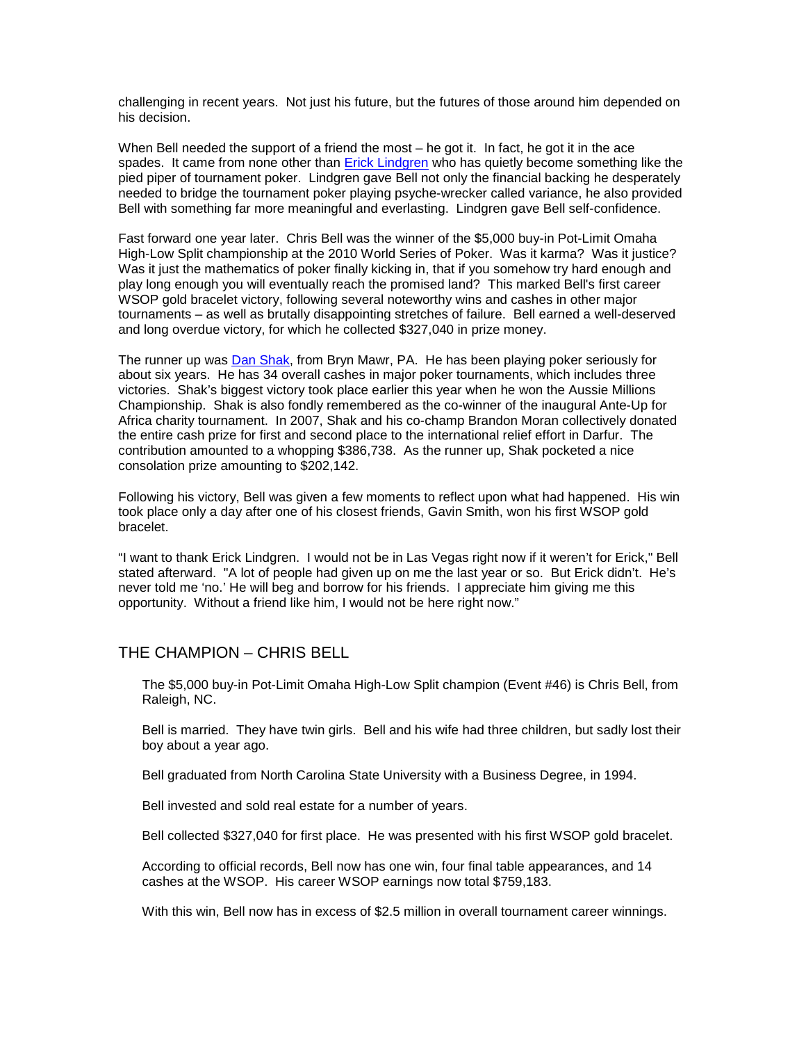challenging in recent years. Not just his future, but the futures of those around him depended on his decision.

When Bell needed the support of a friend the most – he got it. In fact, he got it in the ace spades. It came from none other than [Erick Lindgren](http://www.wsop.com/players/playerProfile.asp?playerID=265&pagecolor=FFFFFF) who has quietly become something like the pied piper of tournament poker. Lindgren gave Bell not only the financial backing he desperately needed to bridge the tournament poker playing psyche-wrecker called variance, he also provided Bell with something far more meaningful and everlasting. Lindgren gave Bell self-confidence.

Fast forward one year later. Chris Bell was the winner of the \$5,000 buy-in Pot-Limit Omaha High-Low Split championship at the 2010 World Series of Poker. Was it karma? Was it justice? Was it just the mathematics of poker finally kicking in, that if you somehow try hard enough and play long enough you will eventually reach the promised land? This marked Bell's first career WSOP gold bracelet victory, following several noteworthy wins and cashes in other major tournaments – as well as brutally disappointing stretches of failure. Bell earned a well-deserved and long overdue victory, for which he collected \$327,040 in prize money.

The runner up was [Dan Shak,](http://www.wsop.com/players/playerProfile.asp?playerID=457&pagecolor=FFFFFF) from Bryn Mawr, PA. He has been playing poker seriously for about six years. He has 34 overall cashes in major poker tournaments, which includes three victories. Shak's biggest victory took place earlier this year when he won the Aussie Millions Championship. Shak is also fondly remembered as the co-winner of the inaugural Ante-Up for Africa charity tournament. In 2007, Shak and his co-champ Brandon Moran collectively donated the entire cash prize for first and second place to the international relief effort in Darfur. The contribution amounted to a whopping \$386,738. As the runner up, Shak pocketed a nice consolation prize amounting to \$202,142.

Following his victory, Bell was given a few moments to reflect upon what had happened. His win took place only a day after one of his closest friends, Gavin Smith, won his first WSOP gold bracelet.

"I want to thank Erick Lindgren. I would not be in Las Vegas right now if it weren't for Erick," Bell stated afterward. "A lot of people had given up on me the last year or so. But Erick didn't. He's never told me 'no.' He will beg and borrow for his friends. I appreciate him giving me this opportunity. Without a friend like him, I would not be here right now."

### THE CHAMPION – CHRIS BELL

The \$5,000 buy-in Pot-Limit Omaha High-Low Split champion (Event #46) is Chris Bell, from Raleigh, NC.

Bell is married. They have twin girls. Bell and his wife had three children, but sadly lost their boy about a year ago.

Bell graduated from North Carolina State University with a Business Degree, in 1994.

Bell invested and sold real estate for a number of years.

Bell collected \$327,040 for first place. He was presented with his first WSOP gold bracelet.

According to official records, Bell now has one win, four final table appearances, and 14 cashes at the WSOP. His career WSOP earnings now total \$759,183.

With this win, Bell now has in excess of \$2.5 million in overall tournament career winnings.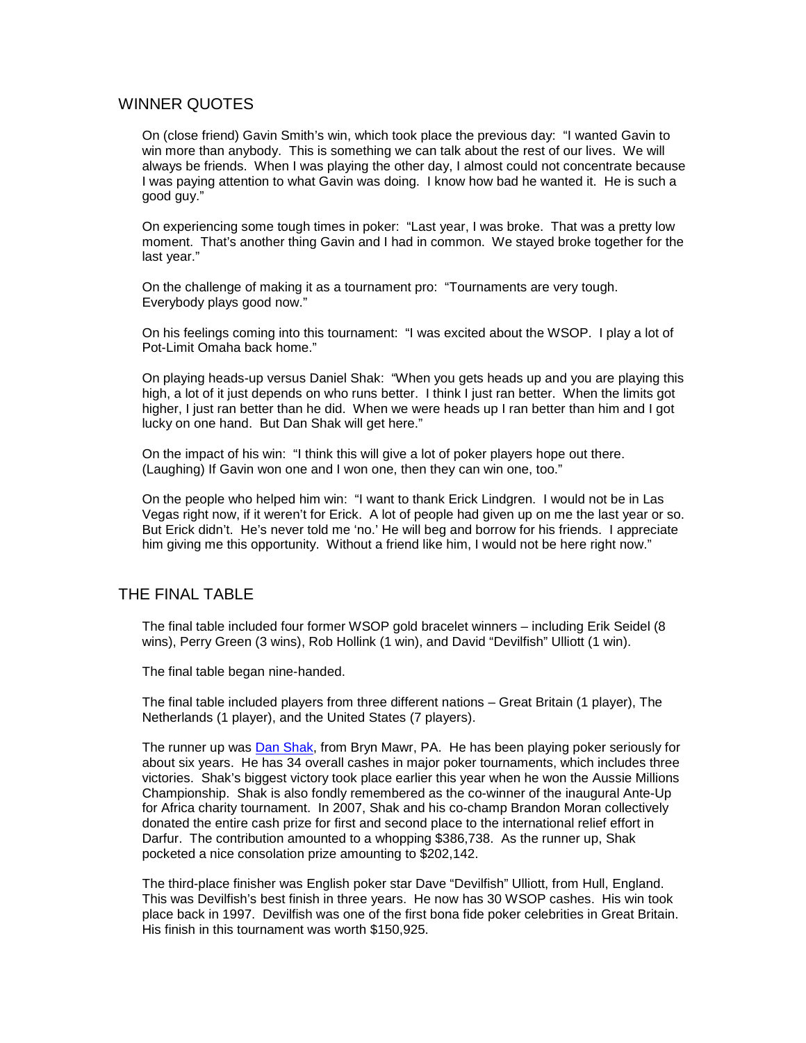### WINNER QUOTES

On (close friend) Gavin Smith's win, which took place the previous day: "I wanted Gavin to win more than anybody. This is something we can talk about the rest of our lives. We will always be friends. When I was playing the other day, I almost could not concentrate because I was paying attention to what Gavin was doing. I know how bad he wanted it. He is such a good guy."

On experiencing some tough times in poker: "Last year, I was broke. That was a pretty low moment. That's another thing Gavin and I had in common. We stayed broke together for the last year."

On the challenge of making it as a tournament pro: "Tournaments are very tough. Everybody plays good now."

On his feelings coming into this tournament: "I was excited about the WSOP. I play a lot of Pot-Limit Omaha back home."

On playing heads-up versus Daniel Shak: "When you gets heads up and you are playing this high, a lot of it just depends on who runs better. I think I just ran better. When the limits got higher, I just ran better than he did. When we were heads up I ran better than him and I got lucky on one hand. But Dan Shak will get here."

On the impact of his win: "I think this will give a lot of poker players hope out there. (Laughing) If Gavin won one and I won one, then they can win one, too."

On the people who helped him win: "I want to thank Erick Lindgren. I would not be in Las Vegas right now, if it weren't for Erick. A lot of people had given up on me the last year or so. But Erick didn't. He's never told me 'no.' He will beg and borrow for his friends. I appreciate him giving me this opportunity. Without a friend like him, I would not be here right now."

### THE FINAL TABLE

The final table included four former WSOP gold bracelet winners – including Erik Seidel (8 wins), Perry Green (3 wins), Rob Hollink (1 win), and David "Devilfish" Ulliott (1 win).

The final table began nine-handed.

The final table included players from three different nations – Great Britain (1 player), The Netherlands (1 player), and the United States (7 players).

The runner up was [Dan Shak,](http://www.wsop.com/players/playerProfile.asp?playerID=457&pagecolor=FFFFFF) from Bryn Mawr, PA. He has been playing poker seriously for about six years. He has 34 overall cashes in major poker tournaments, which includes three victories. Shak's biggest victory took place earlier this year when he won the Aussie Millions Championship. Shak is also fondly remembered as the co-winner of the inaugural Ante-Up for Africa charity tournament. In 2007, Shak and his co-champ Brandon Moran collectively donated the entire cash prize for first and second place to the international relief effort in Darfur. The contribution amounted to a whopping \$386,738. As the runner up, Shak pocketed a nice consolation prize amounting to \$202,142.

The third-place finisher was English poker star Dave "Devilfish" Ulliott, from Hull, England. This was Devilfish's best finish in three years. He now has 30 WSOP cashes. His win took place back in 1997. Devilfish was one of the first bona fide poker celebrities in Great Britain. His finish in this tournament was worth \$150,925.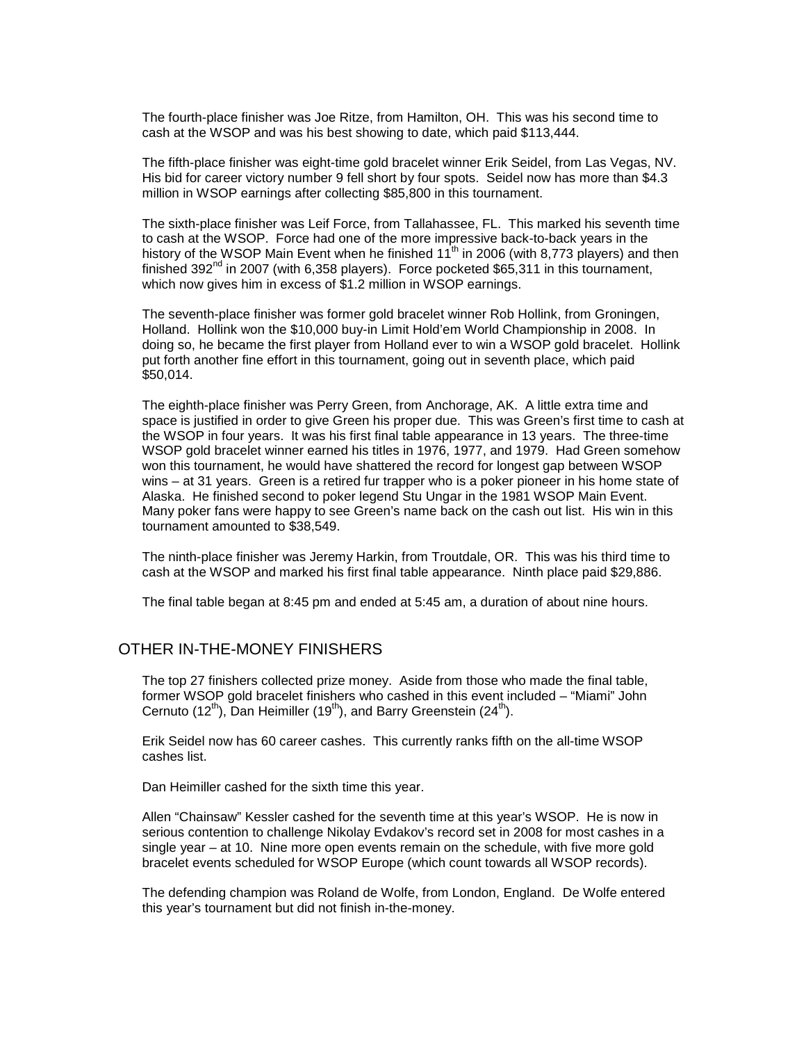The fourth-place finisher was Joe Ritze, from Hamilton, OH. This was his second time to cash at the WSOP and was his best showing to date, which paid \$113,444.

The fifth-place finisher was eight-time gold bracelet winner Erik Seidel, from Las Vegas, NV. His bid for career victory number 9 fell short by four spots. Seidel now has more than \$4.3 million in WSOP earnings after collecting \$85,800 in this tournament.

The sixth-place finisher was Leif Force, from Tallahassee, FL. This marked his seventh time to cash at the WSOP. Force had one of the more impressive back-to-back years in the history of the WSOP Main Event when he finished  $11<sup>th</sup>$  in 2006 (with 8,773 players) and then finished 392 $^{\text{nd}}$  in 2007 (with 6,358 players). Force pocketed \$65,311 in this tournament, which now gives him in excess of \$1.2 million in WSOP earnings.

The seventh-place finisher was former gold bracelet winner Rob Hollink, from Groningen, Holland. Hollink won the \$10,000 buy-in Limit Hold'em World Championship in 2008. In doing so, he became the first player from Holland ever to win a WSOP gold bracelet. Hollink put forth another fine effort in this tournament, going out in seventh place, which paid \$50,014.

The eighth-place finisher was Perry Green, from Anchorage, AK. A little extra time and space is justified in order to give Green his proper due. This was Green's first time to cash at the WSOP in four years. It was his first final table appearance in 13 years. The three-time WSOP gold bracelet winner earned his titles in 1976, 1977, and 1979. Had Green somehow won this tournament, he would have shattered the record for longest gap between WSOP wins – at 31 years. Green is a retired fur trapper who is a poker pioneer in his home state of Alaska. He finished second to poker legend Stu Ungar in the 1981 WSOP Main Event. Many poker fans were happy to see Green's name back on the cash out list. His win in this tournament amounted to \$38,549.

The ninth-place finisher was Jeremy Harkin, from Troutdale, OR. This was his third time to cash at the WSOP and marked his first final table appearance. Ninth place paid \$29,886.

The final table began at 8:45 pm and ended at 5:45 am, a duration of about nine hours.

### OTHER IN-THE-MONEY FINISHERS

The top 27 finishers collected prize money. Aside from those who made the final table, former WSOP gold bracelet finishers who cashed in this event included – "Miami" John Cernuto (12<sup>th</sup>), Dan Heimiller (19<sup>th</sup>), and Barry Greenstein (24<sup>th</sup>).

Erik Seidel now has 60 career cashes. This currently ranks fifth on the all-time WSOP cashes list.

Dan Heimiller cashed for the sixth time this year.

Allen "Chainsaw" Kessler cashed for the seventh time at this year's WSOP. He is now in serious contention to challenge Nikolay Evdakov's record set in 2008 for most cashes in a single year – at 10. Nine more open events remain on the schedule, with five more gold bracelet events scheduled for WSOP Europe (which count towards all WSOP records).

The defending champion was Roland de Wolfe, from London, England. De Wolfe entered this year's tournament but did not finish in-the-money.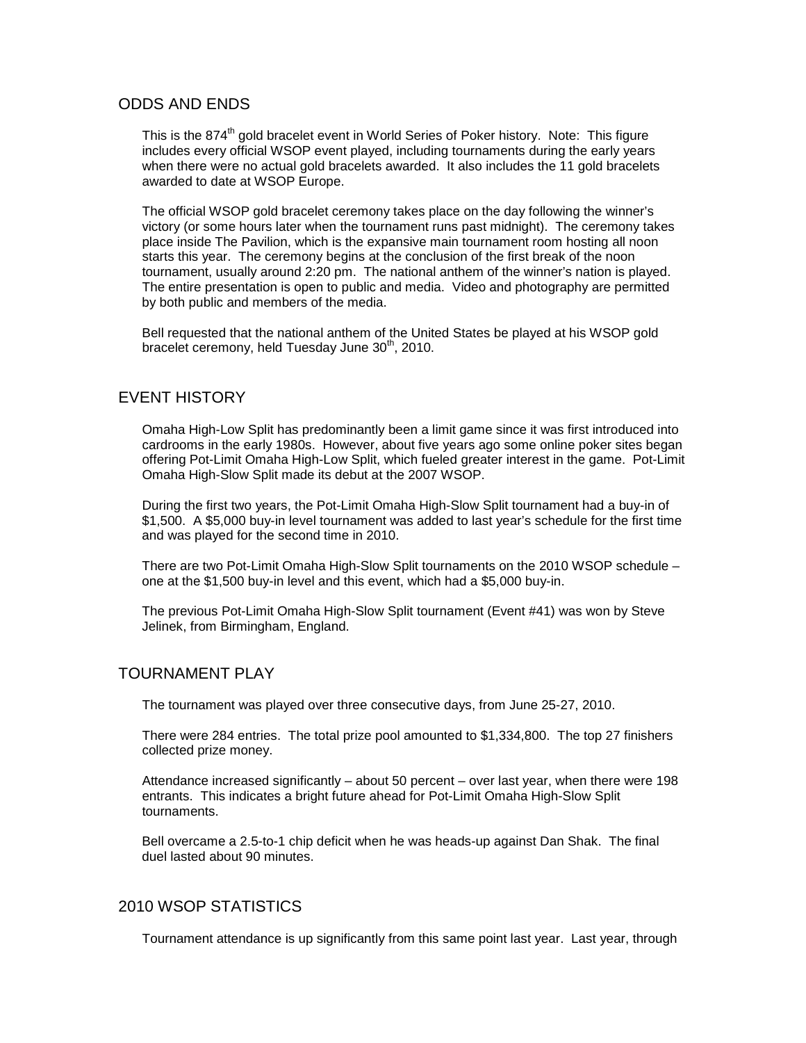### ODDS AND ENDS

This is the 874<sup>th</sup> gold bracelet event in World Series of Poker history. Note: This figure includes every official WSOP event played, including tournaments during the early years when there were no actual gold bracelets awarded. It also includes the 11 gold bracelets awarded to date at WSOP Europe.

The official WSOP gold bracelet ceremony takes place on the day following the winner's victory (or some hours later when the tournament runs past midnight). The ceremony takes place inside The Pavilion, which is the expansive main tournament room hosting all noon starts this year. The ceremony begins at the conclusion of the first break of the noon tournament, usually around 2:20 pm. The national anthem of the winner's nation is played. The entire presentation is open to public and media. Video and photography are permitted by both public and members of the media.

Bell requested that the national anthem of the United States be played at his WSOP gold bracelet ceremony, held Tuesday June 30<sup>th</sup>, 2010.

## EVENT HISTORY

Omaha High-Low Split has predominantly been a limit game since it was first introduced into cardrooms in the early 1980s. However, about five years ago some online poker sites began offering Pot-Limit Omaha High-Low Split, which fueled greater interest in the game. Pot-Limit Omaha High-Slow Split made its debut at the 2007 WSOP.

During the first two years, the Pot-Limit Omaha High-Slow Split tournament had a buy-in of \$1,500. A \$5,000 buy-in level tournament was added to last year's schedule for the first time and was played for the second time in 2010.

There are two Pot-Limit Omaha High-Slow Split tournaments on the 2010 WSOP schedule – one at the \$1,500 buy-in level and this event, which had a \$5,000 buy-in.

The previous Pot-Limit Omaha High-Slow Split tournament (Event #41) was won by Steve Jelinek, from Birmingham, England.

### TOURNAMENT PLAY

The tournament was played over three consecutive days, from June 25-27, 2010.

There were 284 entries. The total prize pool amounted to \$1,334,800. The top 27 finishers collected prize money.

Attendance increased significantly – about 50 percent – over last year, when there were 198 entrants. This indicates a bright future ahead for Pot-Limit Omaha High-Slow Split tournaments.

Bell overcame a 2.5-to-1 chip deficit when he was heads-up against Dan Shak. The final duel lasted about 90 minutes.

### 2010 WSOP STATISTICS

Tournament attendance is up significantly from this same point last year. Last year, through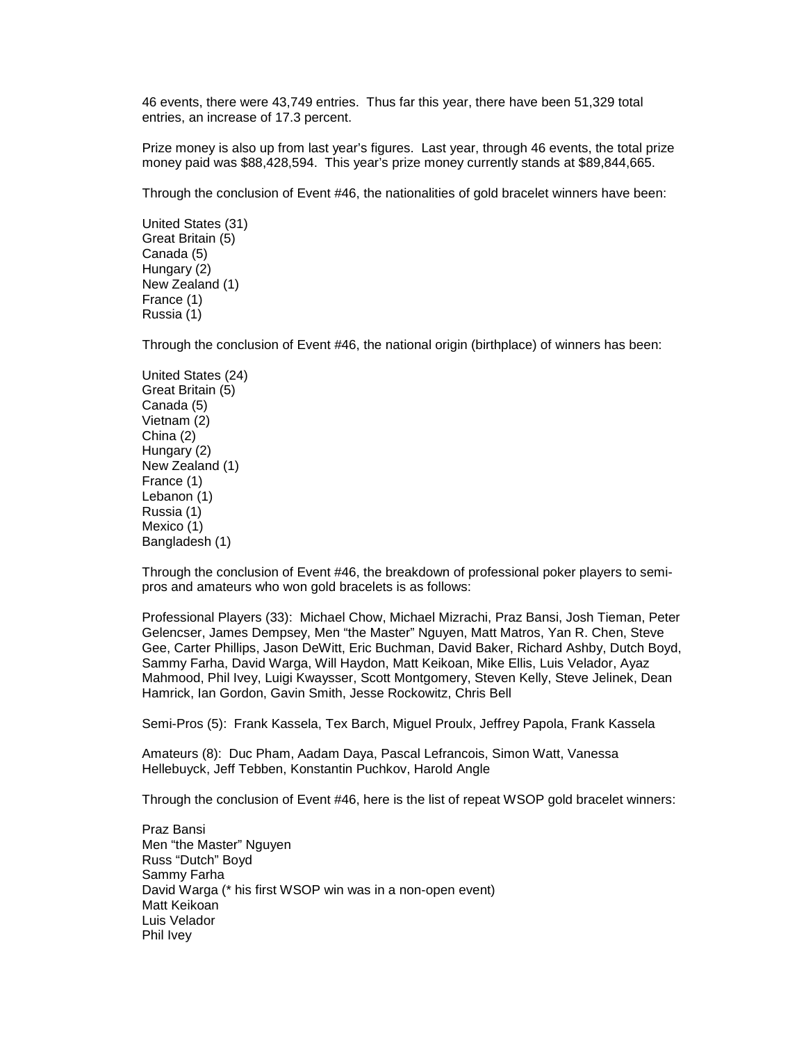46 events, there were 43,749 entries. Thus far this year, there have been 51,329 total entries, an increase of 17.3 percent.

Prize money is also up from last year's figures. Last year, through 46 events, the total prize money paid was \$88,428,594. This year's prize money currently stands at \$89,844,665.

Through the conclusion of Event #46, the nationalities of gold bracelet winners have been:

United States (31) Great Britain (5) Canada (5) Hungary (2) New Zealand (1) France (1) Russia (1)

Through the conclusion of Event #46, the national origin (birthplace) of winners has been:

United States (24) Great Britain (5) Canada (5) Vietnam (2) China (2) Hungary (2) New Zealand (1) France (1) Lebanon (1) Russia (1) Mexico (1) Bangladesh (1)

Through the conclusion of Event #46, the breakdown of professional poker players to semipros and amateurs who won gold bracelets is as follows:

Professional Players (33): Michael Chow, Michael Mizrachi, Praz Bansi, Josh Tieman, Peter Gelencser, James Dempsey, Men "the Master" Nguyen, Matt Matros, Yan R. Chen, Steve Gee, Carter Phillips, Jason DeWitt, Eric Buchman, David Baker, Richard Ashby, Dutch Boyd, Sammy Farha, David Warga, Will Haydon, Matt Keikoan, Mike Ellis, Luis Velador, Ayaz Mahmood, Phil Ivey, Luigi Kwaysser, Scott Montgomery, Steven Kelly, Steve Jelinek, Dean Hamrick, Ian Gordon, Gavin Smith, Jesse Rockowitz, Chris Bell

Semi-Pros (5): Frank Kassela, Tex Barch, Miguel Proulx, Jeffrey Papola, Frank Kassela

Amateurs (8): Duc Pham, Aadam Daya, Pascal Lefrancois, Simon Watt, Vanessa Hellebuyck, Jeff Tebben, Konstantin Puchkov, Harold Angle

Through the conclusion of Event #46, here is the list of repeat WSOP gold bracelet winners:

Praz Bansi Men "the Master" Nguyen Russ "Dutch" Boyd Sammy Farha David Warga (\* his first WSOP win was in a non-open event) Matt Keikoan Luis Velador Phil Ivey